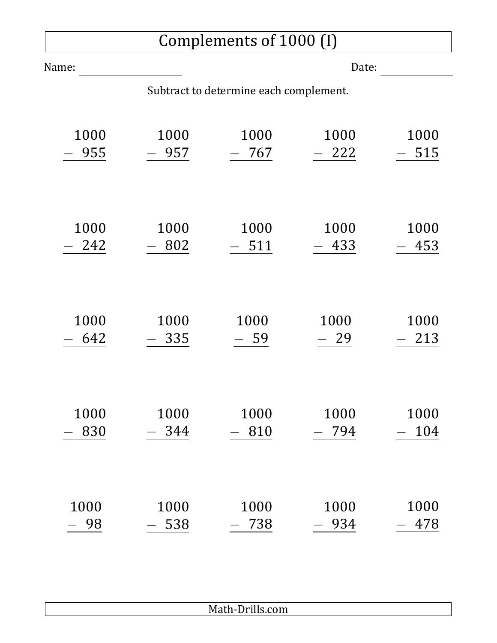## Complements of 1000 (I)

| Name:                                  |      | Date:  |        |      |  |  |  |
|----------------------------------------|------|--------|--------|------|--|--|--|
| Subtract to determine each complement. |      |        |        |      |  |  |  |
| 1000                                   | 1000 | 1000   | 1000   | 1000 |  |  |  |
| 955                                    | 957  | 767    | $-222$ | 515  |  |  |  |
| 1000                                   | 1000 | 1000   | 1000   | 1000 |  |  |  |
| 242                                    | 802  | $-511$ | 433    | 453  |  |  |  |
| 1000                                   | 1000 | 1000   | 1000   | 1000 |  |  |  |
| 642                                    | 335  | - 59   | $-29$  | 213  |  |  |  |
| 1000                                   | 1000 | 1000   | 1000   | 1000 |  |  |  |
| 830                                    | 344  | 810    | 794    | 104  |  |  |  |
| 1000                                   | 1000 | 1000   | 1000   | 1000 |  |  |  |
| 98                                     | 538  | 738    | 934    | 478  |  |  |  |